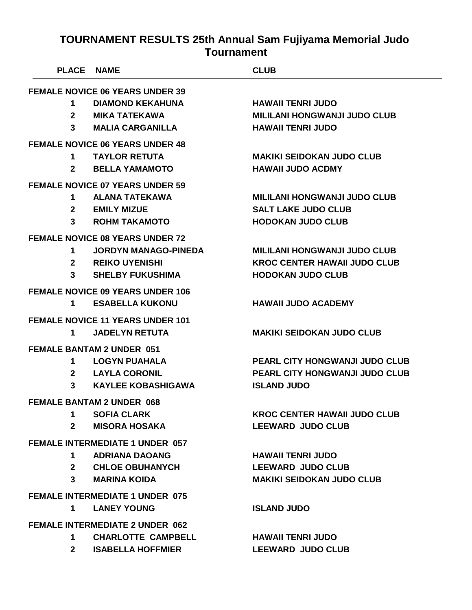| <b>PLACE</b> | <b>NAME</b>                             | <b>CLUB</b>                           |
|--------------|-----------------------------------------|---------------------------------------|
|              | <b>FEMALE NOVICE 06 YEARS UNDER 39</b>  |                                       |
| 1            | <b>DIAMOND KEKAHUNA</b>                 | <b>HAWAII TENRI JUDO</b>              |
| $\mathbf{2}$ | <b>MIKA TATEKAWA</b>                    | <b>MILILANI HONGWANJI JUDO CLUB</b>   |
| 3            | <b>MALIA CARGANILLA</b>                 | <b>HAWAII TENRI JUDO</b>              |
|              | <b>FEMALE NOVICE 06 YEARS UNDER 48</b>  |                                       |
| 1            | <b>TAYLOR RETUTA</b>                    | <b>MAKIKI SEIDOKAN JUDO CLUB</b>      |
| $\mathbf{2}$ | <b>BELLA YAMAMOTO</b>                   | <b>HAWAII JUDO ACDMY</b>              |
|              | <b>FEMALE NOVICE 07 YEARS UNDER 59</b>  |                                       |
| 1            | <b>ALANA TATEKAWA</b>                   | <b>MILILANI HONGWANJI JUDO CLUB</b>   |
| $\mathbf{2}$ | <b>EMILY MIZUE</b>                      | <b>SALT LAKE JUDO CLUB</b>            |
| 3            | <b>ROHM TAKAMOTO</b>                    | <b>HODOKAN JUDO CLUB</b>              |
|              | <b>FEMALE NOVICE 08 YEARS UNDER 72</b>  |                                       |
| 1            | <b>JORDYN MANAGO-PINEDA</b>             | <b>MILILANI HONGWANJI JUDO CLUB</b>   |
| $\mathbf{2}$ | <b>REIKO UYENISHI</b>                   | <b>KROC CENTER HAWAII JUDO CLUB</b>   |
| 3            | <b>SHELBY FUKUSHIMA</b>                 | <b>HODOKAN JUDO CLUB</b>              |
|              | <b>FEMALE NOVICE 09 YEARS UNDER 106</b> |                                       |
| 1            | <b>ESABELLA KUKONU</b>                  | <b>HAWAII JUDO ACADEMY</b>            |
|              | <b>FEMALE NOVICE 11 YEARS UNDER 101</b> |                                       |
| 1            | <b>JADELYN RETUTA</b>                   | <b>MAKIKI SEIDOKAN JUDO CLUB</b>      |
|              | <b>FEMALE BANTAM 2 UNDER 051</b>        |                                       |
| 1            | <b>LOGYN PUAHALA</b>                    | <b>PEARL CITY HONGWANJI JUDO CLUB</b> |
| $\mathbf{2}$ | <b>LAYLA CORONIL</b>                    | <b>PEARL CITY HONGWANJI JUDO CLUB</b> |
| 3            | <b>KAYLEE KOBASHIGAWA</b>               | <b>ISLAND JUDO</b>                    |
|              | <b>FEMALE BANTAM 2 UNDER 068</b>        |                                       |
| $1 \quad$    | <b>SOFIA CLARK</b>                      | <b>KROC CENTER HAWAII JUDO CLUB</b>   |
| $2^{\circ}$  | <b>MISORA HOSAKA</b>                    | <b>LEEWARD JUDO CLUB</b>              |
|              | <b>FEMALE INTERMEDIATE 1 UNDER 057</b>  |                                       |
| 1            | <b>ADRIANA DAOANG</b>                   | <b>HAWAII TENRI JUDO</b>              |
|              | 2 CHLOE OBUHANYCH                       | <b>LEEWARD JUDO CLUB</b>              |
| $3^{\circ}$  | <b>MARINA KOIDA</b>                     | <b>MAKIKI SEIDOKAN JUDO CLUB</b>      |
|              | <b>FEMALE INTERMEDIATE 1 UNDER 075</b>  |                                       |
| $\mathbf 1$  | <b>LANEY YOUNG</b>                      | <b>ISLAND JUDO</b>                    |
|              | <b>FEMALE INTERMEDIATE 2 UNDER 062</b>  |                                       |
| $\mathbf 1$  | <b>CHARLOTTE CAMPBELL</b>               | <b>HAWAII TENRI JUDO</b>              |
| $2^{\circ}$  | <b>ISABELLA HOFFMIER</b>                | <b>LEEWARD JUDO CLUB</b>              |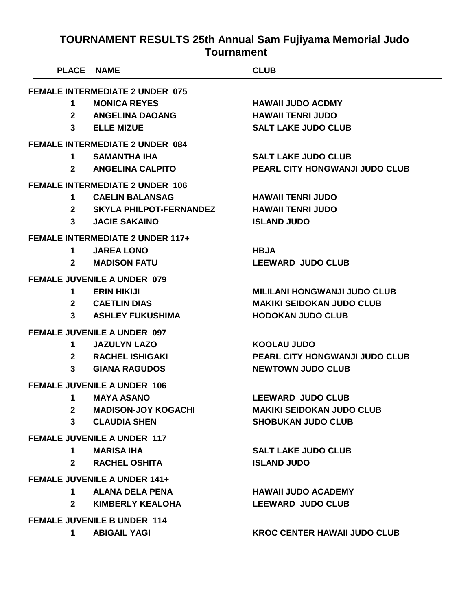| <b>PLACE NAME</b> |                                         | <b>CLUB</b>                           |
|-------------------|-----------------------------------------|---------------------------------------|
|                   | <b>FEMALE INTERMEDIATE 2 UNDER 075</b>  |                                       |
| 1                 | <b>MONICA REYES</b>                     | <b>HAWAII JUDO ACDMY</b>              |
| $\mathbf{2}$      | <b>ANGELINA DAOANG</b>                  | <b>HAWAII TENRI JUDO</b>              |
| 3 <sup>1</sup>    | <b>ELLE MIZUE</b>                       | <b>SALT LAKE JUDO CLUB</b>            |
|                   | <b>FEMALE INTERMEDIATE 2 UNDER 084</b>  |                                       |
| 1                 | <b>SAMANTHA IHA</b>                     | <b>SALT LAKE JUDO CLUB</b>            |
| $\mathbf{2}$      | <b>ANGELINA CALPITO</b>                 | <b>PEARL CITY HONGWANJI JUDO CLUB</b> |
|                   | <b>FEMALE INTERMEDIATE 2 UNDER 106</b>  |                                       |
| 1                 | <b>CAELIN BALANSAG</b>                  | <b>HAWAII TENRI JUDO</b>              |
| $\mathbf{2}$      | <b>SKYLA PHILPOT-FERNANDEZ</b>          | <b>HAWAII TENRI JUDO</b>              |
| $3^{\circ}$       | <b>JACIE SAKAINO</b>                    | <b>ISLAND JUDO</b>                    |
|                   | <b>FEMALE INTERMEDIATE 2 UNDER 117+</b> |                                       |
| 1.                | <b>JAREA LONO</b>                       | <b>HBJA</b>                           |
| $\mathbf{2}$      | <b>MADISON FATU</b>                     | <b>LEEWARD JUDO CLUB</b>              |
|                   | <b>FEMALE JUVENILE A UNDER 079</b>      |                                       |
| 1                 | <b>ERIN HIKIJI</b>                      | <b>MILILANI HONGWANJI JUDO CLUB</b>   |
| $\mathbf{2}$      | <b>CAETLIN DIAS</b>                     | <b>MAKIKI SEIDOKAN JUDO CLUB</b>      |
| 3                 | <b>ASHLEY FUKUSHIMA</b>                 | <b>HODOKAN JUDO CLUB</b>              |
|                   | <b>FEMALE JUVENILE A UNDER 097</b>      |                                       |
| 1                 | <b>JAZULYN LAZO</b>                     | <b>KOOLAU JUDO</b>                    |
| $\mathbf{2}^-$    | <b>RACHEL ISHIGAKI</b>                  | PEARL CITY HONGWANJI JUDO CLUB        |
| $\mathbf{3}$      | <b>GIANA RAGUDOS</b>                    | <b>NEWTOWN JUDO CLUB</b>              |
|                   | <b>FEMALE JUVENILE A UNDER 106</b>      |                                       |
| 1                 | <b>MAYA ASANO</b>                       | <b>LEEWARD JUDO CLUB</b>              |
|                   | 2 MADISON-JOY KOGACHI                   | <b>MAKIKI SEIDOKAN JUDO CLUB</b>      |
| $\mathbf{3}$      | <b>CLAUDIA SHEN</b>                     | <b>SHOBUKAN JUDO CLUB</b>             |
|                   | <b>FEMALE JUVENILE A UNDER 117</b>      |                                       |
| $1 \quad$         | <b>MARISA IHA</b>                       | <b>SALT LAKE JUDO CLUB</b>            |
| $2^{\circ}$       | <b>RACHEL OSHITA</b>                    | <b>ISLAND JUDO</b>                    |
|                   | <b>FEMALE JUVENILE A UNDER 141+</b>     |                                       |
| 1.                | <b>ALANA DELA PENA</b>                  | <b>HAWAII JUDO ACADEMY</b>            |
| $2^{\circ}$       | <b>KIMBERLY KEALOHA</b>                 | <b>LEEWARD JUDO CLUB</b>              |
|                   | <b>FEMALE JUVENILE B UNDER 114</b>      |                                       |
| $\mathbf 1$       | <b>ABIGAIL YAGI</b>                     | <b>KROC CENTER HAWAII JUDO CLUB</b>   |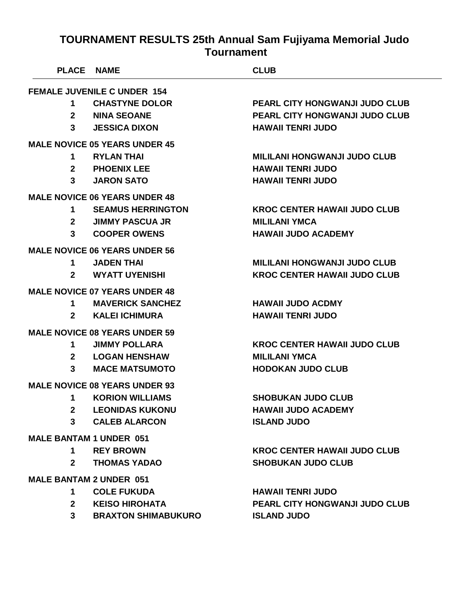|                | PLACE NAME                           | <b>CLUB</b>                           |
|----------------|--------------------------------------|---------------------------------------|
|                | <b>FEMALE JUVENILE C UNDER 154</b>   |                                       |
| $\mathbf 1$    | <b>CHASTYNE DOLOR</b>                | <b>PEARL CITY HONGWANJI JUDO CLUB</b> |
| $\mathbf{2}$   | <b>NINA SEOANE</b>                   | <b>PEARL CITY HONGWANJI JUDO CLUB</b> |
| 3              | <b>JESSICA DIXON</b>                 | <b>HAWAII TENRI JUDO</b>              |
|                | <b>MALE NOVICE 05 YEARS UNDER 45</b> |                                       |
| $\mathbf 1$    | <b>RYLAN THAI</b>                    | <b>MILILANI HONGWANJI JUDO CLUB</b>   |
| 2 <sup>1</sup> | <b>PHOENIX LEE</b>                   | <b>HAWAII TENRI JUDO</b>              |
| $3^{\circ}$    | <b>JARON SATO</b>                    | <b>HAWAII TENRI JUDO</b>              |
|                | <b>MALE NOVICE 06 YEARS UNDER 48</b> |                                       |
| $\mathbf 1$    | <b>SEAMUS HERRINGTON</b>             | <b>KROC CENTER HAWAII JUDO CLUB</b>   |
| $2^{\circ}$    | <b>JIMMY PASCUA JR</b>               | <b>MILILANI YMCA</b>                  |
| 3              | <b>COOPER OWENS</b>                  | <b>HAWAII JUDO ACADEMY</b>            |
|                | <b>MALE NOVICE 06 YEARS UNDER 56</b> |                                       |
| $\mathbf 1$    | <b>JADEN THAI</b>                    | <b>MILILANI HONGWANJI JUDO CLUB</b>   |
| $\mathbf{2}$   | <b>WYATT UYENISHI</b>                | <b>KROC CENTER HAWAII JUDO CLUB</b>   |
|                | <b>MALE NOVICE 07 YEARS UNDER 48</b> |                                       |
| 1              | <b>MAVERICK SANCHEZ</b>              | <b>HAWAII JUDO ACDMY</b>              |
| $\mathbf{2}$   | <b>KALEI ICHIMURA</b>                | <b>HAWAII TENRI JUDO</b>              |
|                | <b>MALE NOVICE 08 YEARS UNDER 59</b> |                                       |
| 1              | <b>JIMMY POLLARA</b>                 | <b>KROC CENTER HAWAII JUDO CLUB</b>   |
|                | 2 LOGAN HENSHAW                      | <b>MILILANI YMCA</b>                  |
| 3              | <b>MACE MATSUMOTO</b>                | <b>HODOKAN JUDO CLUB</b>              |
|                | <b>MALE NOVICE 08 YEARS UNDER 93</b> |                                       |
| 1              | <b>KORION WILLIAMS</b>               | <b>SHOBUKAN JUDO CLUB</b>             |
| $2^{\circ}$    | <b>LEONIDAS KUKONU</b>               | <b>HAWAII JUDO ACADEMY</b>            |
| 3              | <b>CALEB ALARCON</b>                 | <b>ISLAND JUDO</b>                    |
|                | <b>MALE BANTAM 1 UNDER 051</b>       |                                       |
| $1 \quad$      | <b>REY BROWN</b>                     | <b>KROC CENTER HAWAII JUDO CLUB</b>   |
| $\mathbf{2}$   | <b>THOMAS YADAO</b>                  | <b>SHOBUKAN JUDO CLUB</b>             |
|                | <b>MALE BANTAM 2 UNDER 051</b>       |                                       |
| 1              | <b>COLE FUKUDA</b>                   | <b>HAWAII TENRI JUDO</b>              |
| $2^{\circ}$    | <b>KEISO HIROHATA</b>                | <b>PEARL CITY HONGWANJI JUDO CLUB</b> |
| 3 <sup>7</sup> | <b>BRAXTON SHIMABUKURO</b>           | <b>ISLAND JUDO</b>                    |
|                |                                      |                                       |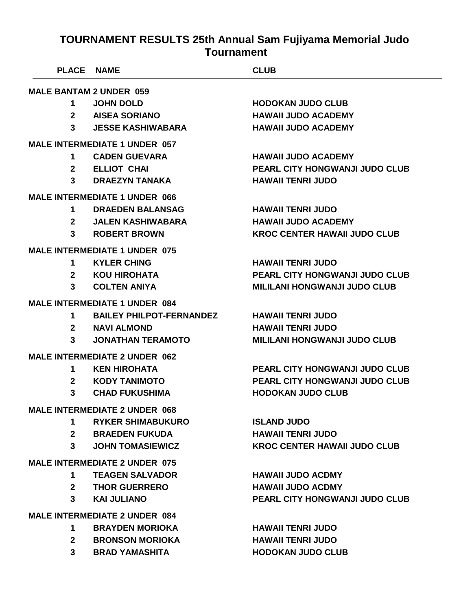| <b>PLACE NAME</b>                    |                                      | <b>CLUB</b>                           |  |
|--------------------------------------|--------------------------------------|---------------------------------------|--|
| <b>MALE BANTAM 2 UNDER 059</b>       |                                      |                                       |  |
| 1                                    | <b>JOHN DOLD</b>                     | <b>HODOKAN JUDO CLUB</b>              |  |
| $\mathbf{2}$                         | <b>AISEA SORIANO</b>                 | <b>HAWAII JUDO ACADEMY</b>            |  |
| 3                                    | <b>JESSE KASHIWABARA</b>             | <b>HAWAII JUDO ACADEMY</b>            |  |
|                                      | <b>MALE INTERMEDIATE 1 UNDER 057</b> |                                       |  |
| 1                                    | <b>CADEN GUEVARA</b>                 | <b>HAWAII JUDO ACADEMY</b>            |  |
| $\mathbf{2}$                         | <b>ELLIOT CHAI</b>                   | <b>PEARL CITY HONGWANJI JUDO CLUB</b> |  |
| 3                                    | <b>DRAEZYN TANAKA</b>                | <b>HAWAII TENRI JUDO</b>              |  |
|                                      | <b>MALE INTERMEDIATE 1 UNDER 066</b> |                                       |  |
| 1                                    | <b>DRAEDEN BALANSAG</b>              | <b>HAWAII TENRI JUDO</b>              |  |
| 2 <sup>1</sup>                       | <b>JALEN KASHIWABARA</b>             | <b>HAWAII JUDO ACADEMY</b>            |  |
| 3                                    | <b>ROBERT BROWN</b>                  | <b>KROC CENTER HAWAII JUDO CLUB</b>   |  |
|                                      | <b>MALE INTERMEDIATE 1 UNDER 075</b> |                                       |  |
| 1                                    | <b>KYLER CHING</b>                   | <b>HAWAII TENRI JUDO</b>              |  |
| $\mathbf{2}$                         | KOU HIROHATA                         | PEARL CITY HONGWANJI JUDO CLUB        |  |
| 3                                    | <b>COLTEN ANIYA</b>                  | <b>MILILANI HONGWANJI JUDO CLUB</b>   |  |
|                                      | <b>MALE INTERMEDIATE 1 UNDER 084</b> |                                       |  |
| 1                                    | <b>BAILEY PHILPOT-FERNANDEZ</b>      | <b>HAWAII TENRI JUDO</b>              |  |
| $\mathbf{2}$                         | <b>NAVI ALMOND</b>                   | <b>HAWAII TENRI JUDO</b>              |  |
| 3                                    | <b>JONATHAN TERAMOTO</b>             | <b>MILILANI HONGWANJI JUDO CLUB</b>   |  |
|                                      | <b>MALE INTERMEDIATE 2 UNDER 062</b> |                                       |  |
| 1                                    | <b>KEN HIROHATA</b>                  | <b>PEARL CITY HONGWANJI JUDO CLUB</b> |  |
| $\mathbf{2}$                         | <b>KODY TANIMOTO</b>                 | <b>PEARL CITY HONGWANJI JUDO CLUB</b> |  |
| 3                                    | <b>CHAD FUKUSHIMA</b>                | <b>HODOKAN JUDO CLUB</b>              |  |
|                                      | <b>MALE INTERMEDIATE 2 UNDER 068</b> |                                       |  |
| 1                                    | <b>RYKER SHIMABUKURO</b>             | <b>ISLAND JUDO</b>                    |  |
|                                      | 2 BRAEDEN FUKUDA                     | <b>HAWAII TENRI JUDO</b>              |  |
| $3^{\circ}$                          | <b>JOHN TOMASIEWICZ</b>              | <b>KROC CENTER HAWAII JUDO CLUB</b>   |  |
| <b>MALE INTERMEDIATE 2 UNDER 075</b> |                                      |                                       |  |
| 1.                                   | <b>TEAGEN SALVADOR</b>               | <b>HAWAII JUDO ACDMY</b>              |  |
|                                      | 2 THOR GUERRERO                      | <b>HAWAII JUDO ACDMY</b>              |  |
| $3^{\circ}$                          | <b>KAI JULIANO</b>                   | <b>PEARL CITY HONGWANJI JUDO CLUB</b> |  |
| <b>MALE INTERMEDIATE 2 UNDER 084</b> |                                      |                                       |  |
| 1                                    | <b>BRAYDEN MORIOKA</b>               | <b>HAWAII TENRI JUDO</b>              |  |
|                                      | 2 BRONSON MORIOKA                    | <b>HAWAII TENRI JUDO</b>              |  |
| 3 <sup>1</sup>                       | <b>BRAD YAMASHITA</b>                | <b>HODOKAN JUDO CLUB</b>              |  |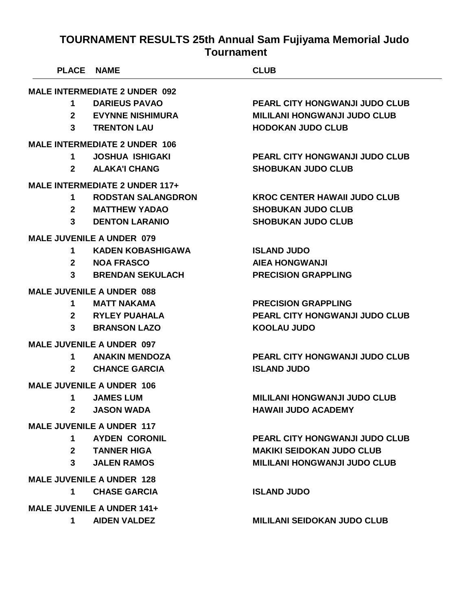| <b>PLACE</b>     | <b>NAME</b>                           | <b>CLUB</b>                           |
|------------------|---------------------------------------|---------------------------------------|
|                  | <b>MALE INTERMEDIATE 2 UNDER 092</b>  |                                       |
| 1                | <b>DARIEUS PAVAO</b>                  | <b>PEARL CITY HONGWANJI JUDO CLUB</b> |
| $\mathbf{2}$     | <b>EVYNNE NISHIMURA</b>               | <b>MILILANI HONGWANJI JUDO CLUB</b>   |
| 3                | <b>TRENTON LAU</b>                    | <b>HODOKAN JUDO CLUB</b>              |
|                  | <b>MALE INTERMEDIATE 2 UNDER 106</b>  |                                       |
| 1                | <b>JOSHUA ISHIGAKI</b>                | PEARL CITY HONGWANJI JUDO CLUB        |
| $\mathbf{2}$     | <b>ALAKA'I CHANG</b>                  | <b>SHOBUKAN JUDO CLUB</b>             |
|                  | <b>MALE INTERMEDIATE 2 UNDER 117+</b> |                                       |
| 1                | <b>RODSTAN SALANGDRON</b>             | <b>KROC CENTER HAWAII JUDO CLUB</b>   |
| $\mathbf{2}$     | <b>MATTHEW YADAO</b>                  | <b>SHOBUKAN JUDO CLUB</b>             |
| 3                | <b>DENTON LARANIO</b>                 | <b>SHOBUKAN JUDO CLUB</b>             |
|                  | <b>MALE JUVENILE A UNDER 079</b>      |                                       |
| 1                | <b>KADEN KOBASHIGAWA</b>              | <b>ISLAND JUDO</b>                    |
| $\mathbf{2}$     | <b>NOA FRASCO</b>                     | <b>AIEA HONGWANJI</b>                 |
| 3                | <b>BRENDAN SEKULACH</b>               | <b>PRECISION GRAPPLING</b>            |
|                  | <b>MALE JUVENILE A UNDER 088</b>      |                                       |
| 1                | <b>MATT NAKAMA</b>                    | <b>PRECISION GRAPPLING</b>            |
| $\mathbf{2}$     | <b>RYLEY PUAHALA</b>                  | <b>PEARL CITY HONGWANJI JUDO CLUB</b> |
| 3                | <b>BRANSON LAZO</b>                   | <b>KOOLAU JUDO</b>                    |
|                  | <b>MALE JUVENILE A UNDER 097</b>      |                                       |
| 1                | <b>ANAKIN MENDOZA</b>                 | PEARL CITY HONGWANJI JUDO CLUB        |
| $\mathbf{2}$     | <b>CHANCE GARCIA</b>                  | <b>ISLAND JUDO</b>                    |
|                  | <b>MALE JUVENILE A UNDER 106</b>      |                                       |
| 1                | <b>JAMES LUM</b>                      | <b>MILILANI HONGWANJI JUDO CLUB</b>   |
| $\boldsymbol{2}$ | <b>JASON WADA</b>                     | <b>HAWAII JUDO ACADEMY</b>            |
|                  | <b>MALE JUVENILE A UNDER 117</b>      |                                       |
| 1 $\blacksquare$ | <b>AYDEN CORONIL</b>                  | <b>PEARL CITY HONGWANJI JUDO CLUB</b> |
|                  | 2 TANNER HIGA                         | <b>MAKIKI SEIDOKAN JUDO CLUB</b>      |
| $3^{\circ}$      | <b>JALEN RAMOS</b>                    | <b>MILILANI HONGWANJI JUDO CLUB</b>   |
|                  | <b>MALE JUVENILE A UNDER 128</b>      |                                       |
| 1                | <b>CHASE GARCIA</b>                   | <b>ISLAND JUDO</b>                    |
|                  | <b>MALE JUVENILE A UNDER 141+</b>     |                                       |
| 1                | <b>AIDEN VALDEZ</b>                   | <b>MILILANI SEIDOKAN JUDO CLUB</b>    |
|                  |                                       |                                       |